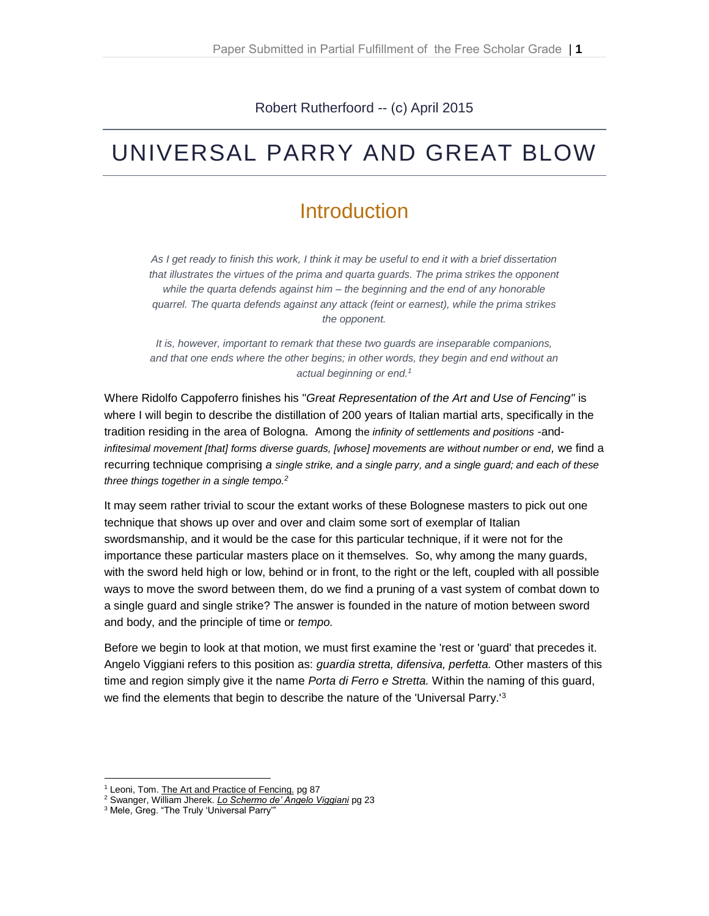Robert Rutherfoord -- (c) April 2015

# UNIVERSAL PARRY AND GREAT BLOW

### **Introduction**

*As I get ready to finish this work, I think it may be useful to end it with a brief dissertation that illustrates the virtues of the prima and quarta guards. The prima strikes the opponent while the quarta defends against him – the beginning and the end of any honorable quarrel. The quarta defends against any attack (feint or earnest), while the prima strikes the opponent.* 

*It is, however, important to remark that these two guards are inseparable companions, and that one ends where the other begins; in other words, they begin and end without an actual beginning or end.<sup>1</sup>*

Where Ridolfo Cappoferro finishes his "*Great Representation of the Art and Use of Fencing"* is where I will begin to describe the distillation of 200 years of Italian martial arts, specifically in the tradition residing in the area of Bologna. Among the *infinity of settlements and positions -*and*infitesimal movement [that] forms diverse guards, [whose] movements are without number or end,* we find a recurring technique comprising *a single strike, and a single parry, and a single guard; and each of these three things together in a single tempo.<sup>2</sup>*

It may seem rather trivial to scour the extant works of these Bolognese masters to pick out one technique that shows up over and over and claim some sort of exemplar of Italian swordsmanship, and it would be the case for this particular technique, if it were not for the importance these particular masters place on it themselves. So, why among the many guards, with the sword held high or low, behind or in front, to the right or the left, coupled with all possible ways to move the sword between them, do we find a pruning of a vast system of combat down to a single guard and single strike? The answer is founded in the nature of motion between sword and body, and the principle of time or *tempo.* 

Before we begin to look at that motion, we must first examine the 'rest or 'guard' that precedes it. Angelo Viggiani refers to this position as: *guardia stretta, difensiva, perfetta.* Other masters of this time and region simply give it the name *Porta di Ferro e Stretta.* Within the naming of this guard, we find the elements that begin to describe the nature of the 'Universal Parry.'<sup>3</sup>

<sup>&</sup>lt;sup>1</sup> Leoni, Tom. The Art and Practice of Fencing. pg 87

<sup>2</sup> Swanger, William Jherek. *Lo Schermo de' Angelo Viggiani* pg 23

<sup>&</sup>lt;sup>3</sup> Mele, Greg. "The Truly 'Universal Parry"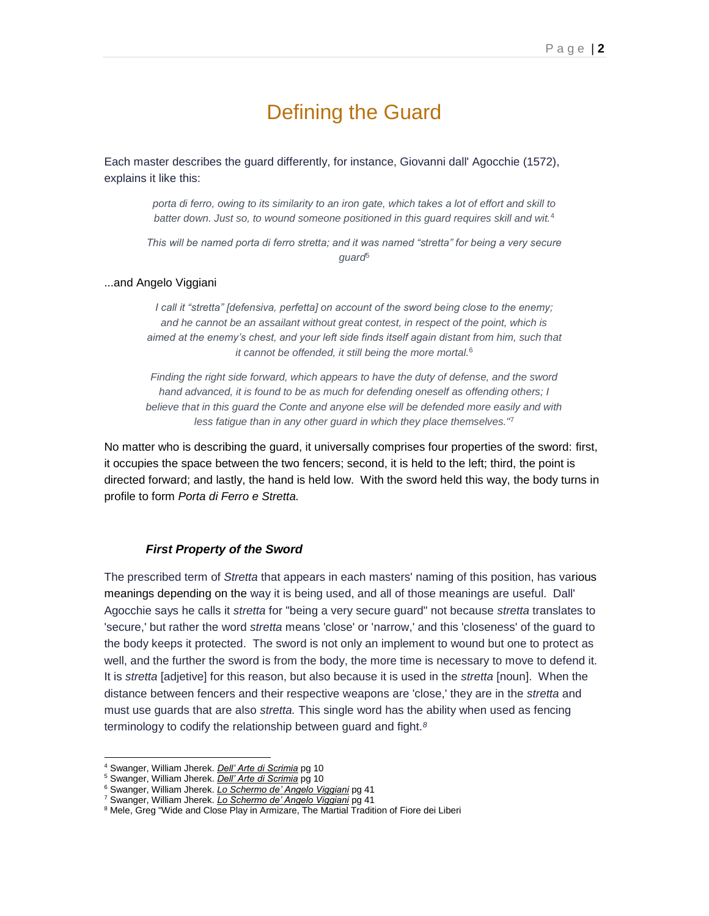## Defining the Guard

Each master describes the guard differently, for instance, Giovanni dall' Agocchie (1572), explains it like this:

> *porta di ferro, owing to its similarity to an iron gate, which takes a lot of effort and skill to batter down. Just so, to wound someone positioned in this guard requires skill and wit.*<sup>4</sup>

*This will be named porta di ferro stretta; and it was named "stretta" for being a very secure guard*<sup>5</sup>

#### ...and Angelo Viggiani

*I call it "stretta" [defensiva, perfetta] on account of the sword being close to the enemy; and he cannot be an assailant without great contest, in respect of the point, which is aimed at the enemy's chest, and your left side finds itself again distant from him, such that it cannot be offended, it still being the more mortal.*<sup>6</sup>

*Finding the right side forward, which appears to have the duty of defense, and the sword hand advanced, it is found to be as much for defending oneself as offending others; I believe that in this guard the Conte and anyone else will be defended more easily and with less fatigue than in any other guard in which they place themselves."*<sup>7</sup>

No matter who is describing the guard, it universally comprises four properties of the sword: first, it occupies the space between the two fencers; second, it is held to the left; third, the point is directed forward; and lastly, the hand is held low. With the sword held this way, the body turns in profile to form *Porta di Ferro e Stretta.*

#### *First Property of the Sword*

The prescribed term of *Stretta* that appears in each masters' naming of this position, has various meanings depending on the way it is being used, and all of those meanings are useful. Dall' Agocchie says he calls it *stretta* for "being a very secure guard" not because *stretta* translates to 'secure,' but rather the word *stretta* means 'close' or 'narrow,' and this 'closeness' of the guard to the body keeps it protected. The sword is not only an implement to wound but one to protect as well, and the further the sword is from the body, the more time is necessary to move to defend it. It is *stretta* [adjetive] for this reason, but also because it is used in the *stretta* [noun]. When the distance between fencers and their respective weapons are 'close,' they are in the *stretta* and must use guards that are also *stretta.* This single word has the ability when used as fencing terminology to codify the relationship between guard and fight.*<sup>8</sup>*

<sup>4</sup> Swanger, William Jherek. *Dell' Arte di Scrimia* pg 10

<sup>5</sup> Swanger, William Jherek. *Dell' Arte di Scrimia* pg 10

<sup>6</sup> Swanger, William Jherek. *Lo Schermo de' Angelo Viggiani* pg 41

<sup>7</sup> Swanger, William Jherek. *Lo Schermo de' Angelo Viggiani* pg 41

<sup>&</sup>lt;sup>8</sup> Mele, Greg "Wide and Close Play in Armizare, The Martial Tradition of Fiore dei Liberi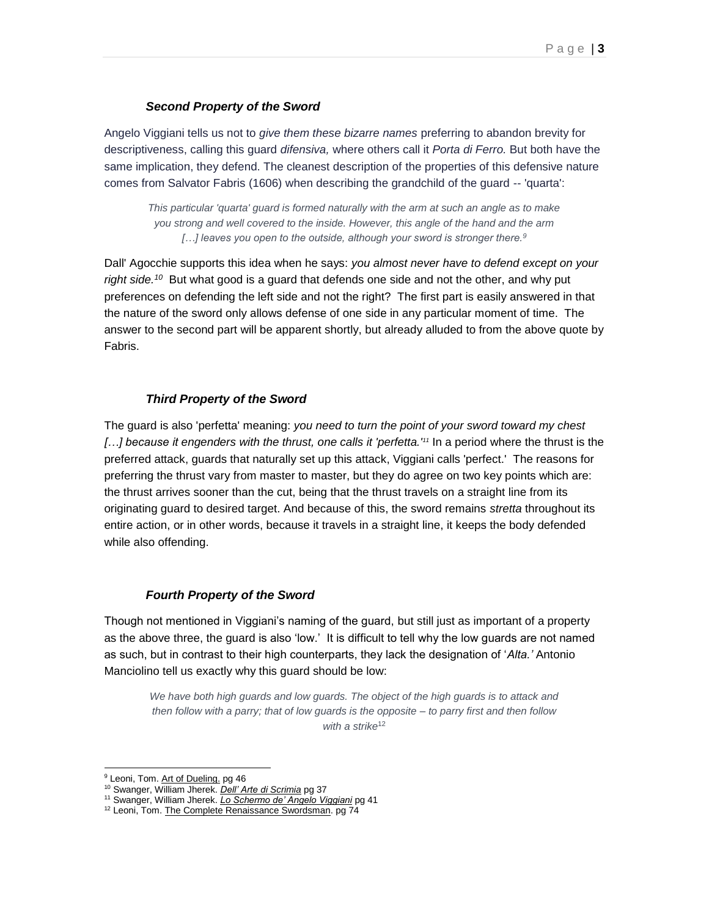#### *Second Property of the Sword*

Angelo Viggiani tells us not to *give them these bizarre names* preferring to abandon brevity for descriptiveness, calling this guard *difensiva,* where others call it *Porta di Ferro.* But both have the same implication, they defend. The cleanest description of the properties of this defensive nature comes from Salvator Fabris (1606) when describing the grandchild of the guard -- 'quarta':

*This particular 'quarta' guard is formed naturally with the arm at such an angle as to make you strong and well covered to the inside. However, this angle of the hand and the arm […] leaves you open to the outside, although your sword is stronger there.<sup>9</sup>*

Dall' Agocchie supports this idea when he says: *you almost never have to defend except on your*  right side.<sup>10</sup> But what good is a guard that defends one side and not the other, and why put preferences on defending the left side and not the right? The first part is easily answered in that the nature of the sword only allows defense of one side in any particular moment of time. The answer to the second part will be apparent shortly, but already alluded to from the above quote by Fabris.

#### *Third Property of the Sword*

The guard is also 'perfetta' meaning: *you need to turn the point of your sword toward my chest […] because it engenders with the thrust, one calls it 'perfetta.'<sup>11</sup>* In a period where the thrust is the preferred attack, guards that naturally set up this attack, Viggiani calls 'perfect.' The reasons for preferring the thrust vary from master to master, but they do agree on two key points which are: the thrust arrives sooner than the cut, being that the thrust travels on a straight line from its originating guard to desired target. And because of this, the sword remains *stretta* throughout its entire action, or in other words, because it travels in a straight line, it keeps the body defended while also offending.

#### *Fourth Property of the Sword*

Though not mentioned in Viggiani's naming of the guard, but still just as important of a property as the above three, the guard is also 'low.' It is difficult to tell why the low guards are not named as such, but in contrast to their high counterparts, they lack the designation of '*Alta.'* Antonio Manciolino tell us exactly why this guard should be low:

*We have both high guards and low guards. The object of the high guards is to attack and then follow with a parry; that of low guards is the opposite – to parry first and then follow with a strike*<sup>12</sup>

<sup>&</sup>lt;sup>9</sup> Leoni, Tom. Art of Dueling. pg 46

<sup>10</sup> Swanger, William Jherek. *Dell' Arte di Scrimia* pg 37

<sup>11</sup> Swanger, William Jherek. *Lo Schermo de' Angelo Viggiani* pg 41

<sup>&</sup>lt;sup>12</sup> Leoni, Tom. The Complete Renaissance Swordsman. pg 74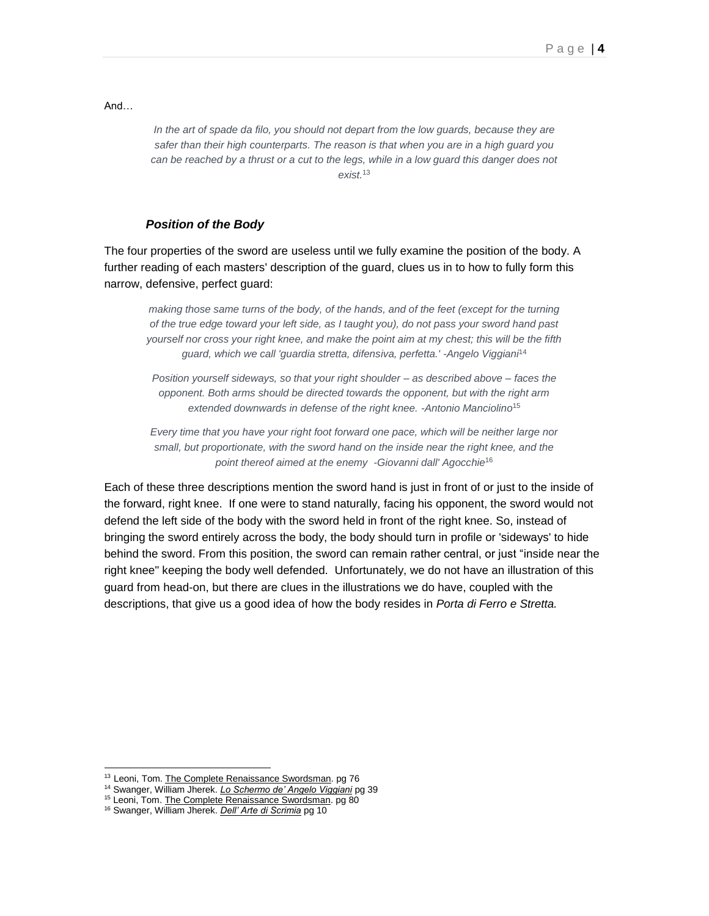And…

*In the art of spade da filo, you should not depart from the low guards, because they are safer than their high counterparts. The reason is that when you are in a high guard you can be reached by a thrust or a cut to the legs, while in a low guard this danger does not exist.*<sup>13</sup>

#### *Position of the Body*

The four properties of the sword are useless until we fully examine the position of the body. A further reading of each masters' description of the guard, clues us in to how to fully form this narrow, defensive, perfect guard:

*making those same turns of the body, of the hands, and of the feet (except for the turning of the true edge toward your left side, as I taught you), do not pass your sword hand past yourself nor cross your right knee, and make the point aim at my chest; this will be the fifth guard, which we call 'guardia stretta, difensiva, perfetta.' -Angelo Viggiani*<sup>14</sup>

*Position yourself sideways, so that your right shoulder – as described above – faces the opponent. Both arms should be directed towards the opponent, but with the right arm extended downwards in defense of the right knee. -Antonio Manciolino*<sup>15</sup>

*Every time that you have your right foot forward one pace, which will be neither large nor small, but proportionate, with the sword hand on the inside near the right knee, and the point thereof aimed at the enemy -Giovanni dall' Agocchie*<sup>16</sup>

Each of these three descriptions mention the sword hand is just in front of or just to the inside of the forward, right knee. If one were to stand naturally, facing his opponent, the sword would not defend the left side of the body with the sword held in front of the right knee. So, instead of bringing the sword entirely across the body, the body should turn in profile or 'sideways' to hide behind the sword. From this position, the sword can remain rather central, or just "inside near the right knee" keeping the body well defended. Unfortunately, we do not have an illustration of this guard from head-on, but there are clues in the illustrations we do have, coupled with the descriptions, that give us a good idea of how the body resides in *Porta di Ferro e Stretta.* 

<sup>&</sup>lt;sup>13</sup> Leoni, Tom. The Complete Renaissance Swordsman. pg 76

<sup>14</sup> Swanger, William Jherek. *Lo Schermo de' Angelo Viggiani* pg 39

<sup>&</sup>lt;sup>15</sup> Leoni, Tom. The Complete Renaissance Swordsman. pg 80

<sup>16</sup> Swanger, William Jherek. *Dell' Arte di Scrimia* pg 10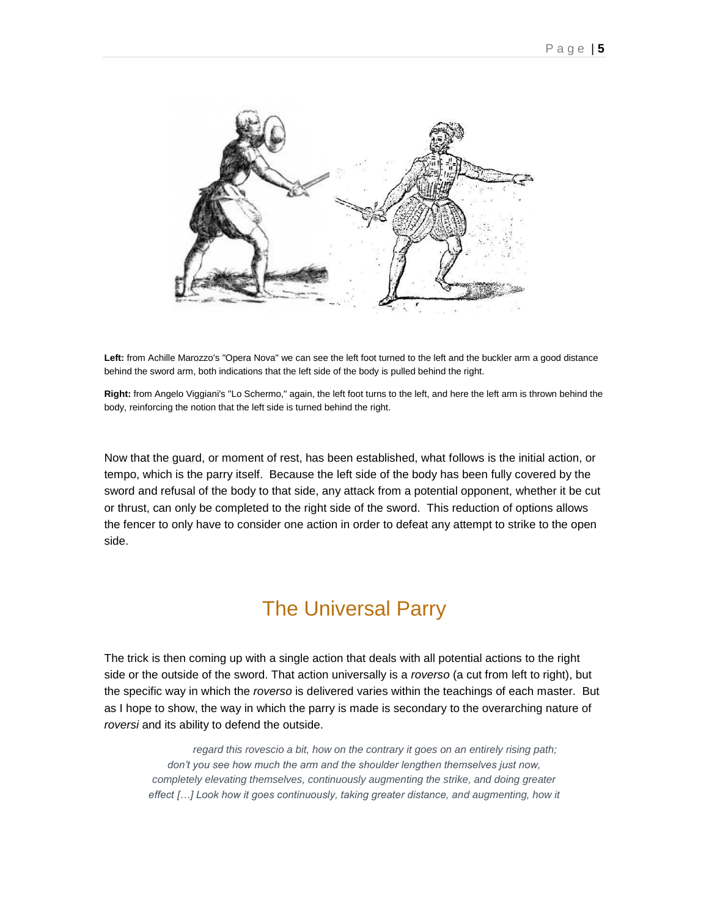

**Left:** from Achille Marozzo's "Opera Nova" we can see the left foot turned to the left and the buckler arm a good distance behind the sword arm, both indications that the left side of the body is pulled behind the right.

**Right:** from Angelo Viggiani's "Lo Schermo," again, the left foot turns to the left, and here the left arm is thrown behind the body, reinforcing the notion that the left side is turned behind the right.

Now that the guard, or moment of rest, has been established, what follows is the initial action, or tempo, which is the parry itself. Because the left side of the body has been fully covered by the sword and refusal of the body to that side, any attack from a potential opponent, whether it be cut or thrust, can only be completed to the right side of the sword. This reduction of options allows the fencer to only have to consider one action in order to defeat any attempt to strike to the open side.

### The Universal Parry

The trick is then coming up with a single action that deals with all potential actions to the right side or the outside of the sword. That action universally is a *roverso* (a cut from left to right), but the specific way in which the *roverso* is delivered varies within the teachings of each master. But as I hope to show, the way in which the parry is made is secondary to the overarching nature of *roversi* and its ability to defend the outside.

*regard this rovescio a bit, how on the contrary it goes on an entirely rising path; don't you see how much the arm and the shoulder lengthen themselves just now, completely elevating themselves, continuously augmenting the strike, and doing greater effect […] Look how it goes continuously, taking greater distance, and augmenting, how it*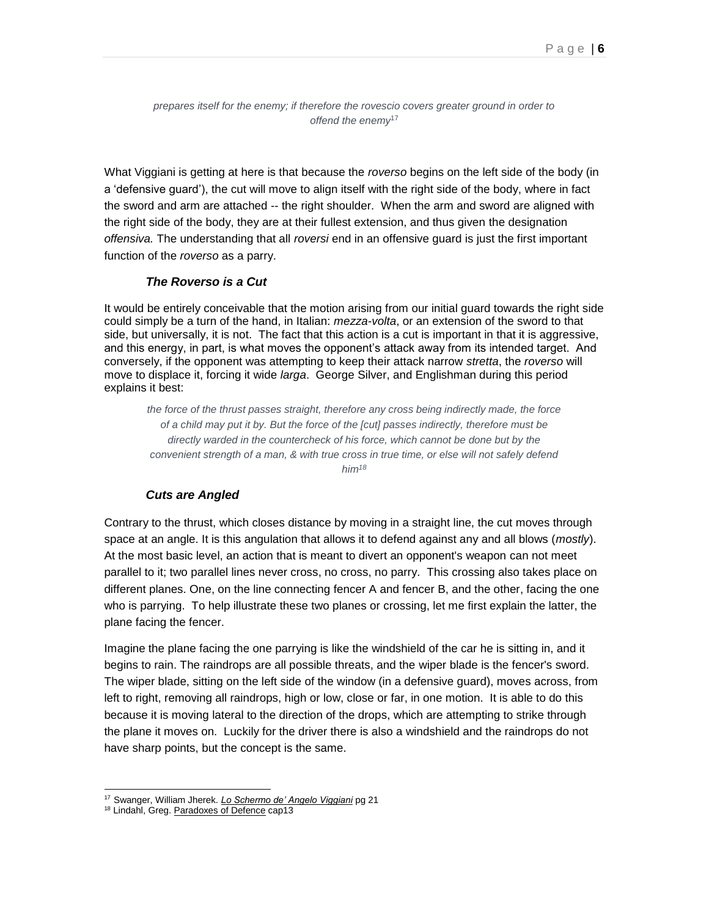*prepares itself for the enemy; if therefore the rovescio covers greater ground in order to offend the enemy*<sup>17</sup>

What Viggiani is getting at here is that because the *roverso* begins on the left side of the body (in a 'defensive guard'), the cut will move to align itself with the right side of the body, where in fact the sword and arm are attached -- the right shoulder. When the arm and sword are aligned with the right side of the body, they are at their fullest extension, and thus given the designation *offensiva.* The understanding that all *roversi* end in an offensive guard is just the first important function of the *roverso* as a parry.

#### *The Roverso is a Cut*

It would be entirely conceivable that the motion arising from our initial guard towards the right side could simply be a turn of the hand, in Italian: *mezza-volta*, or an extension of the sword to that side, but universally, it is not. The fact that this action is a cut is important in that it is aggressive, and this energy, in part, is what moves the opponent's attack away from its intended target. And conversely, if the opponent was attempting to keep their attack narrow *stretta*, the *roverso* will move to displace it, forcing it wide *larga*. George Silver, and Englishman during this period explains it best:

*the force of the thrust passes straight, therefore any cross being indirectly made, the force of a child may put it by. But the force of the [cut] passes indirectly, therefore must be directly warded in the countercheck of his force, which cannot be done but by the convenient strength of a man, & with true cross in true time, or else will not safely defend him<sup>18</sup>*

#### *Cuts are Angled*

Contrary to the thrust, which closes distance by moving in a straight line, the cut moves through space at an angle. It is this angulation that allows it to defend against any and all blows (*mostly*). At the most basic level, an action that is meant to divert an opponent's weapon can not meet parallel to it; two parallel lines never cross, no cross, no parry. This crossing also takes place on different planes. One, on the line connecting fencer A and fencer B, and the other, facing the one who is parrying. To help illustrate these two planes or crossing, let me first explain the latter, the plane facing the fencer.

Imagine the plane facing the one parrying is like the windshield of the car he is sitting in, and it begins to rain. The raindrops are all possible threats, and the wiper blade is the fencer's sword. The wiper blade, sitting on the left side of the window (in a defensive guard), moves across, from left to right, removing all raindrops, high or low, close or far, in one motion. It is able to do this because it is moving lateral to the direction of the drops, which are attempting to strike through the plane it moves on. Luckily for the driver there is also a windshield and the raindrops do not have sharp points, but the concept is the same.

 $\overline{a}$ <sup>17</sup> Swanger, William Jherek. *Lo Schermo de' Angelo Viggiani* pg 21

<sup>18</sup> Lindahl, Greg. Paradoxes of Defence cap13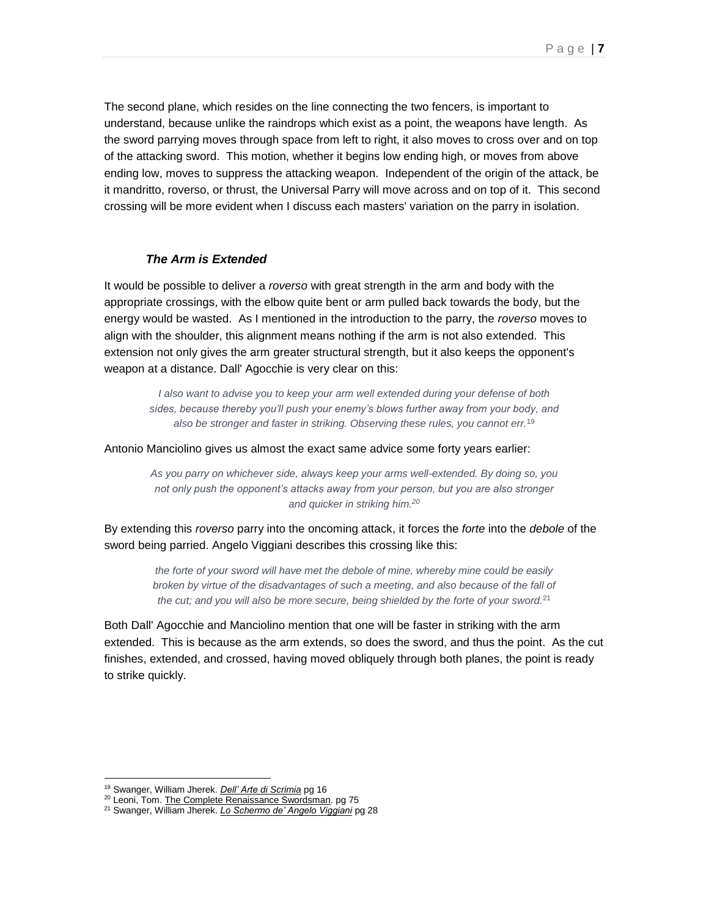The second plane, which resides on the line connecting the two fencers, is important to understand, because unlike the raindrops which exist as a point, the weapons have length. As the sword parrying moves through space from left to right, it also moves to cross over and on top of the attacking sword. This motion, whether it begins low ending high, or moves from above ending low, moves to suppress the attacking weapon. Independent of the origin of the attack, be it mandritto, roverso, or thrust, the Universal Parry will move across and on top of it. This second crossing will be more evident when I discuss each masters' variation on the parry in isolation.

#### *The Arm is Extended*

It would be possible to deliver a *roverso* with great strength in the arm and body with the appropriate crossings, with the elbow quite bent or arm pulled back towards the body, but the energy would be wasted. As I mentioned in the introduction to the parry, the *roverso* moves to align with the shoulder, this alignment means nothing if the arm is not also extended. This extension not only gives the arm greater structural strength, but it also keeps the opponent's weapon at a distance. Dall' Agocchie is very clear on this:

*I also want to advise you to keep your arm well extended during your defense of both sides, because thereby you'll push your enemy's blows further away from your body, and also be stronger and faster in striking. Observing these rules, you cannot err.*<sup>19</sup>

Antonio Manciolino gives us almost the exact same advice some forty years earlier:

*As you parry on whichever side, always keep your arms well-extended. By doing so, you not only push the opponent's attacks away from your person, but you are also stronger and quicker in striking him.<sup>20</sup>*

By extending this *roverso* parry into the oncoming attack, it forces the *forte* into the *debole* of the sword being parried. Angelo Viggiani describes this crossing like this:

*the forte of your sword will have met the debole of mine, whereby mine could be easily broken by virtue of the disadvantages of such a meeting, and also because of the fall of the cut; and you will also be more secure, being shielded by the forte of your sword.*<sup>21</sup>

Both Dall' Agocchie and Manciolino mention that one will be faster in striking with the arm extended. This is because as the arm extends, so does the sword, and thus the point. As the cut finishes, extended, and crossed, having moved obliquely through both planes, the point is ready to strike quickly.

<sup>19</sup> Swanger, William Jherek. *Dell' Arte di Scrimia* pg 16

<sup>&</sup>lt;sup>20</sup> Leoni, Tom. The Complete Renaissance Swordsman. pg 75

<sup>21</sup> Swanger, William Jherek. *Lo Schermo de' Angelo Viggiani* pg 28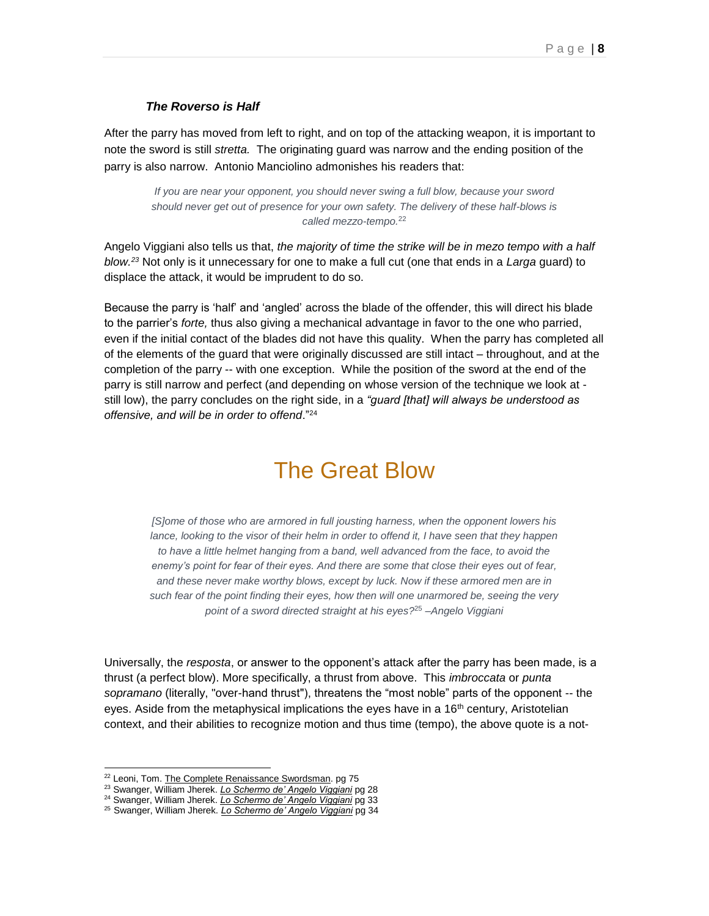#### *The Roverso is Half*

After the parry has moved from left to right, and on top of the attacking weapon, it is important to note the sword is still *stretta.* The originating guard was narrow and the ending position of the parry is also narrow. Antonio Manciolino admonishes his readers that:

*If you are near your opponent, you should never swing a full blow, because your sword should never get out of presence for your own safety. The delivery of these half-blows is called mezzo-tempo.*<sup>22</sup>

Angelo Viggiani also tells us that, *the majority of time the strike will be in mezo tempo with a half blow.<sup>23</sup>* Not only is it unnecessary for one to make a full cut (one that ends in a *Larga* guard) to displace the attack, it would be imprudent to do so.

Because the parry is 'half' and 'angled' across the blade of the offender, this will direct his blade to the parrier's *forte,* thus also giving a mechanical advantage in favor to the one who parried, even if the initial contact of the blades did not have this quality. When the parry has completed all of the elements of the guard that were originally discussed are still intact – throughout, and at the completion of the parry -- with one exception. While the position of the sword at the end of the parry is still narrow and perfect (and depending on whose version of the technique we look at still low), the parry concludes on the right side, in a *"guard [that] will always be understood as offensive, and will be in order to offend*."<sup>24</sup>

### The Great Blow

*[S]ome of those who are armored in full jousting harness, when the opponent lowers his lance, looking to the visor of their helm in order to offend it, I have seen that they happen to have a little helmet hanging from a band, well advanced from the face, to avoid the enemy's point for fear of their eyes. And there are some that close their eyes out of fear, and these never make worthy blows, except by luck. Now if these armored men are in such fear of the point finding their eyes, how then will one unarmored be, seeing the very point of a sword directed straight at his eyes?*<sup>25</sup> *–Angelo Viggiani*

Universally, the *resposta*, or answer to the opponent's attack after the parry has been made, is a thrust (a perfect blow). More specifically, a thrust from above. This *imbroccata* or *punta sopramano* (literally, "over-hand thrust"), threatens the "most noble" parts of the opponent -- the eyes. Aside from the metaphysical implications the eyes have in a  $16<sup>th</sup>$  century, Aristotelian context, and their abilities to recognize motion and thus time (tempo), the above quote is a not-

<sup>&</sup>lt;sup>22</sup> Leoni, Tom. The Complete Renaissance Swordsman. pg 75

<sup>23</sup> Swanger, William Jherek. *Lo Schermo de' Angelo Viggiani* pg 28

<sup>24</sup> Swanger, William Jherek. *Lo Schermo de' Angelo Viggiani* pg 33

<sup>25</sup> Swanger, William Jherek. *Lo Schermo de' Angelo Viggiani* pg 34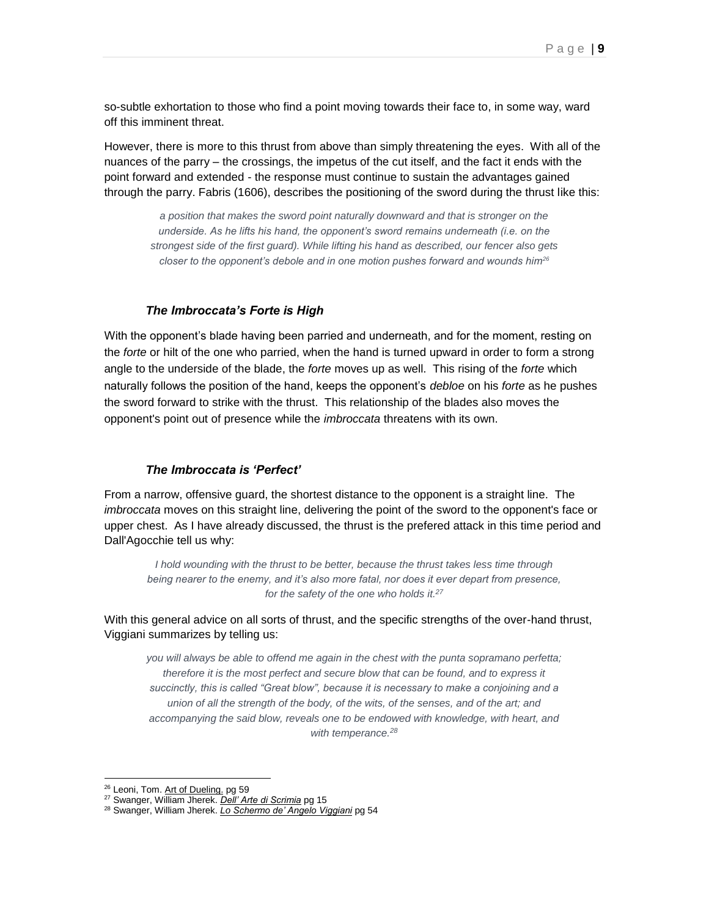so-subtle exhortation to those who find a point moving towards their face to, in some way, ward off this imminent threat.

However, there is more to this thrust from above than simply threatening the eyes. With all of the nuances of the parry – the crossings, the impetus of the cut itself, and the fact it ends with the point forward and extended - the response must continue to sustain the advantages gained through the parry. Fabris (1606), describes the positioning of the sword during the thrust like this:

*a position that makes the sword point naturally downward and that is stronger on the underside. As he lifts his hand, the opponent's sword remains underneath (i.e. on the strongest side of the first guard). While lifting his hand as described, our fencer also gets closer to the opponent's debole and in one motion pushes forward and wounds him<sup>26</sup>*

#### *The Imbroccata's Forte is High*

With the opponent's blade having been parried and underneath, and for the moment, resting on the *forte* or hilt of the one who parried, when the hand is turned upward in order to form a strong angle to the underside of the blade, the *forte* moves up as well. This rising of the *forte* which naturally follows the position of the hand, keeps the opponent's *debloe* on his *forte* as he pushes the sword forward to strike with the thrust. This relationship of the blades also moves the opponent's point out of presence while the *imbroccata* threatens with its own.

#### *The Imbroccata is 'Perfect'*

From a narrow, offensive guard, the shortest distance to the opponent is a straight line. The *imbroccata* moves on this straight line, delivering the point of the sword to the opponent's face or upper chest. As I have already discussed, the thrust is the prefered attack in this time period and Dall'Agocchie tell us why:

*I hold wounding with the thrust to be better, because the thrust takes less time through being nearer to the enemy, and it's also more fatal, nor does it ever depart from presence, for the safety of the one who holds it.<sup>27</sup>*

With this general advice on all sorts of thrust, and the specific strengths of the over-hand thrust, Viggiani summarizes by telling us:

*you will always be able to offend me again in the chest with the punta sopramano perfetta; therefore it is the most perfect and secure blow that can be found, and to express it succinctly, this is called "Great blow", because it is necessary to make a conjoining and a union of all the strength of the body, of the wits, of the senses, and of the art; and accompanying the said blow, reveals one to be endowed with knowledge, with heart, and with temperance.<sup>28</sup>*

<sup>&</sup>lt;sup>26</sup> Leoni, Tom. Art of Dueling. pg 59

<sup>27</sup> Swanger, William Jherek. *Dell' Arte di Scrimia* pg 15

<sup>28</sup> Swanger, William Jherek. *Lo Schermo de' Angelo Viggiani* pg 54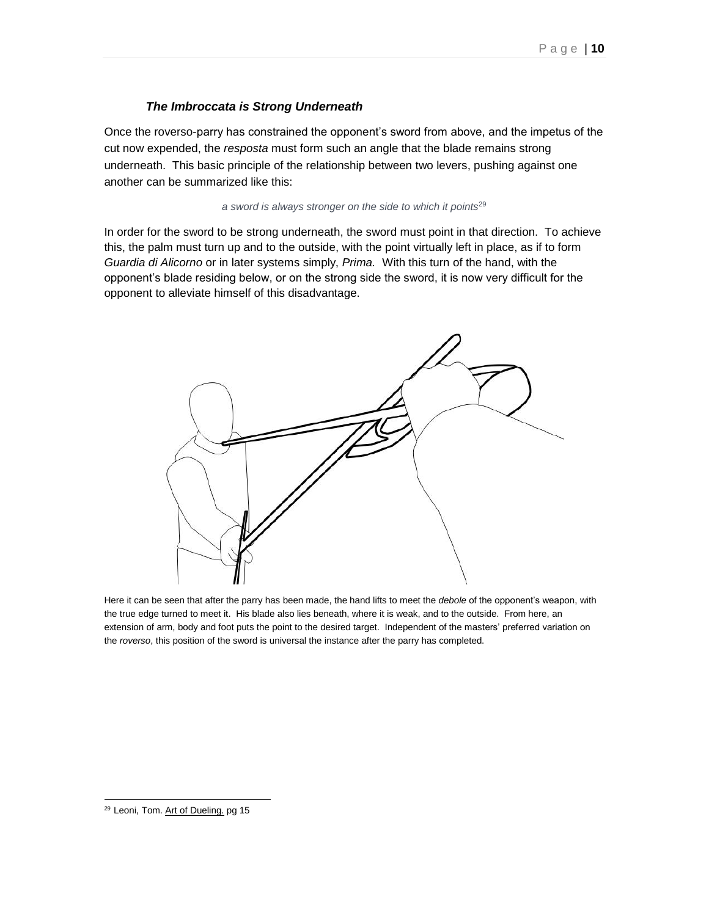#### *The Imbroccata is Strong Underneath*

Once the roverso-parry has constrained the opponent's sword from above, and the impetus of the cut now expended, the *resposta* must form such an angle that the blade remains strong underneath. This basic principle of the relationship between two levers, pushing against one another can be summarized like this:

#### *a sword is always stronger on the side to which it points*<sup>29</sup>

In order for the sword to be strong underneath, the sword must point in that direction. To achieve this, the palm must turn up and to the outside, with the point virtually left in place, as if to form *Guardia di Alicorno* or in later systems simply, *Prima.* With this turn of the hand, with the opponent's blade residing below, or on the strong side the sword, it is now very difficult for the opponent to alleviate himself of this disadvantage.



Here it can be seen that after the parry has been made, the hand lifts to meet the *debole* of the opponent's weapon, with the true edge turned to meet it. His blade also lies beneath, where it is weak, and to the outside. From here, an extension of arm, body and foot puts the point to the desired target. Independent of the masters' preferred variation on the *roverso*, this position of the sword is universal the instance after the parry has completed.

l

<sup>&</sup>lt;sup>29</sup> Leoni, Tom. Art of Dueling. pg 15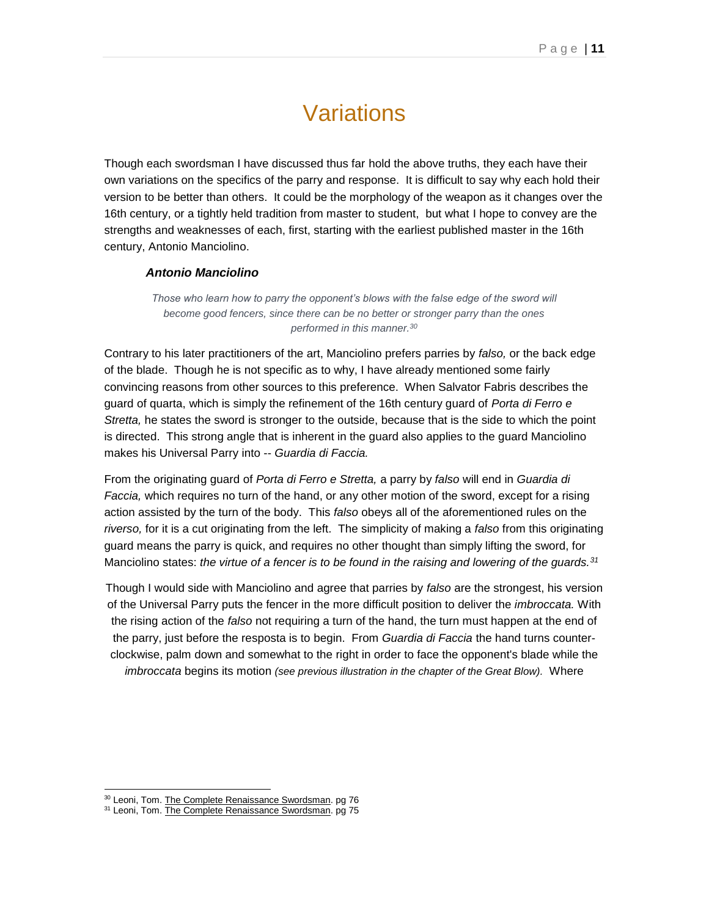## **Variations**

Though each swordsman I have discussed thus far hold the above truths, they each have their own variations on the specifics of the parry and response. It is difficult to say why each hold their version to be better than others. It could be the morphology of the weapon as it changes over the 16th century, or a tightly held tradition from master to student, but what I hope to convey are the strengths and weaknesses of each, first, starting with the earliest published master in the 16th century, Antonio Manciolino.

#### *Antonio Manciolino*

*Those who learn how to parry the opponent's blows with the false edge of the sword will become good fencers, since there can be no better or stronger parry than the ones performed in this manner.<sup>30</sup>*

Contrary to his later practitioners of the art, Manciolino prefers parries by *falso,* or the back edge of the blade. Though he is not specific as to why, I have already mentioned some fairly convincing reasons from other sources to this preference. When Salvator Fabris describes the guard of quarta, which is simply the refinement of the 16th century guard of *Porta di Ferro e Stretta,* he states the sword is stronger to the outside, because that is the side to which the point is directed. This strong angle that is inherent in the guard also applies to the guard Manciolino makes his Universal Parry into -- *Guardia di Faccia.* 

From the originating guard of *Porta di Ferro e Stretta,* a parry by *falso* will end in *Guardia di Faccia,* which requires no turn of the hand, or any other motion of the sword, except for a rising action assisted by the turn of the body. This *falso* obeys all of the aforementioned rules on the *riverso,* for it is a cut originating from the left. The simplicity of making a *falso* from this originating guard means the parry is quick, and requires no other thought than simply lifting the sword, for Manciolino states: *the virtue of a fencer is to be found in the raising and lowering of the guards.<sup>31</sup>*

Though I would side with Manciolino and agree that parries by *falso* are the strongest, his version of the Universal Parry puts the fencer in the more difficult position to deliver the *imbroccata.* With the rising action of the *falso* not requiring a turn of the hand, the turn must happen at the end of the parry, just before the resposta is to begin. From *Guardia di Faccia* the hand turns counterclockwise, palm down and somewhat to the right in order to face the opponent's blade while the *imbroccata* begins its motion *(see previous illustration in the chapter of the Great Blow).* Where

<sup>&</sup>lt;sup>30</sup> Leoni, Tom. The Complete Renaissance Swordsman. pg 76

<sup>&</sup>lt;sup>31</sup> Leoni, Tom. The Complete Renaissance Swordsman. pg 75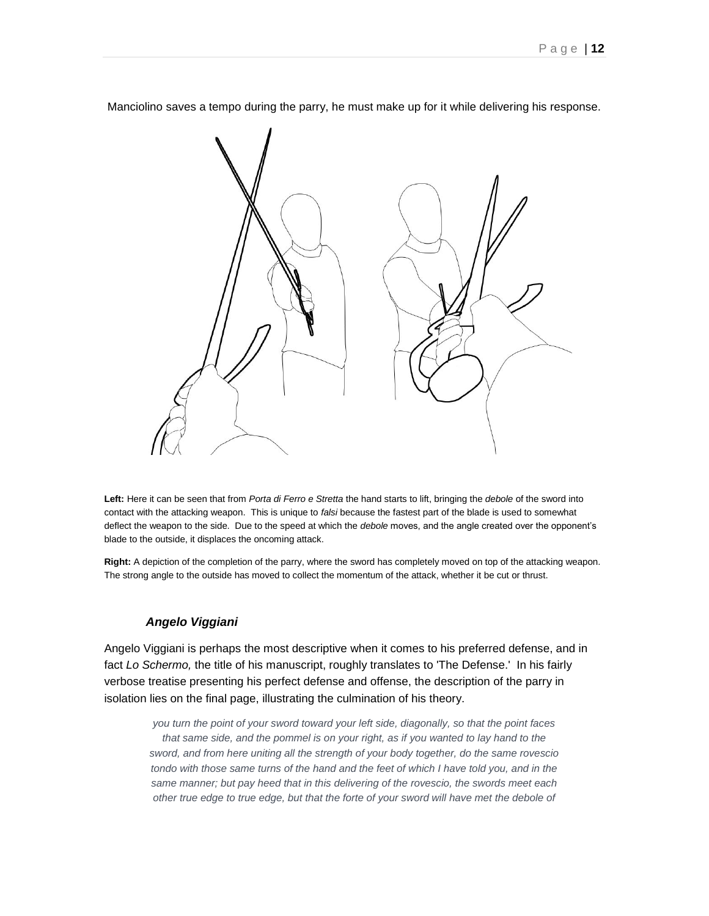

Manciolino saves a tempo during the parry, he must make up for it while delivering his response.

**Left:** Here it can be seen that from *Porta di Ferro e Stretta* the hand starts to lift, bringing the *debole* of the sword into contact with the attacking weapon. This is unique to *falsi* because the fastest part of the blade is used to somewhat deflect the weapon to the side. Due to the speed at which the *debole* moves, and the angle created over the opponent's blade to the outside, it displaces the oncoming attack.

**Right:** A depiction of the completion of the parry, where the sword has completely moved on top of the attacking weapon. The strong angle to the outside has moved to collect the momentum of the attack, whether it be cut or thrust.

#### *Angelo Viggiani*

Angelo Viggiani is perhaps the most descriptive when it comes to his preferred defense, and in fact *Lo Schermo,* the title of his manuscript, roughly translates to 'The Defense.' In his fairly verbose treatise presenting his perfect defense and offense, the description of the parry in isolation lies on the final page, illustrating the culmination of his theory.

*you turn the point of your sword toward your left side, diagonally, so that the point faces that same side, and the pommel is on your right, as if you wanted to lay hand to the sword, and from here uniting all the strength of your body together, do the same rovescio tondo with those same turns of the hand and the feet of which I have told you, and in the same manner; but pay heed that in this delivering of the rovescio, the swords meet each other true edge to true edge, but that the forte of your sword will have met the debole of*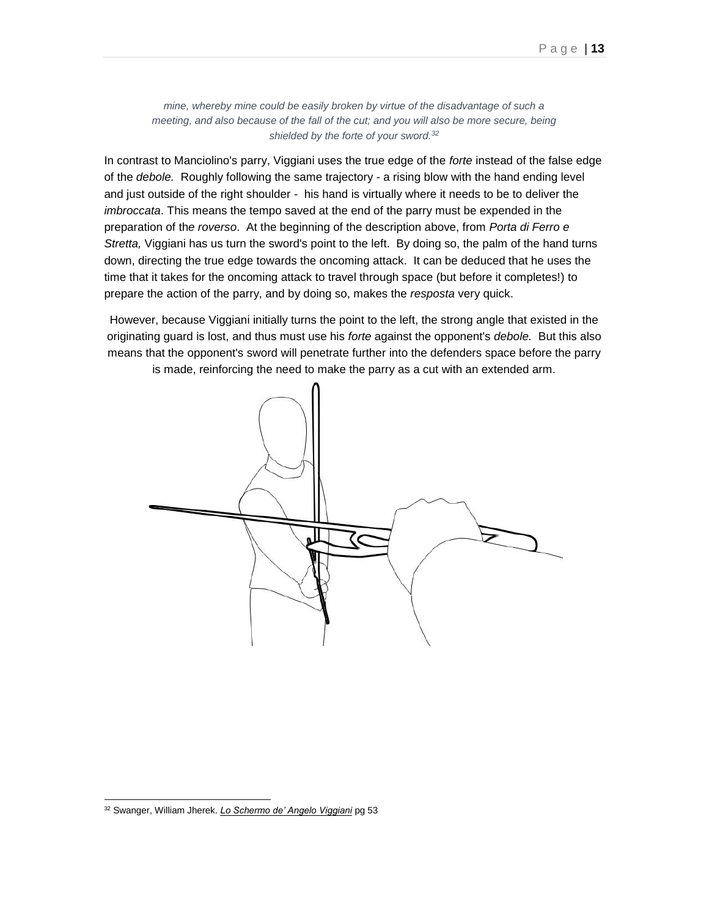*mine, whereby mine could be easily broken by virtue of the disadvantage of such a meeting, and also because of the fall of the cut; and you will also be more secure, being shielded by the forte of your sword.<sup>32</sup>*

In contrast to Manciolino's parry, Viggiani uses the true edge of the *forte* instead of the false edge of the *debole.* Roughly following the same trajectory - a rising blow with the hand ending level and just outside of the right shoulder - his hand is virtually where it needs to be to deliver the *imbroccata*. This means the tempo saved at the end of the parry must be expended in the preparation of th*e roverso*. At the beginning of the description above, from *Porta di Ferro e Stretta,* Viggiani has us turn the sword's point to the left. By doing so, the palm of the hand turns down, directing the true edge towards the oncoming attack. It can be deduced that he uses the time that it takes for the oncoming attack to travel through space (but before it completes!) to prepare the action of the parry, and by doing so, makes the *resposta* very quick.

However, because Viggiani initially turns the point to the left, the strong angle that existed in the originating guard is lost, and thus must use his *forte* against the opponent's *debole.* But this also means that the opponent's sword will penetrate further into the defenders space before the parry is made, reinforcing the need to make the parry as a cut with an extended arm.



l <sup>32</sup> Swanger, William Jherek. *Lo Schermo de' Angelo Viggiani* pg 53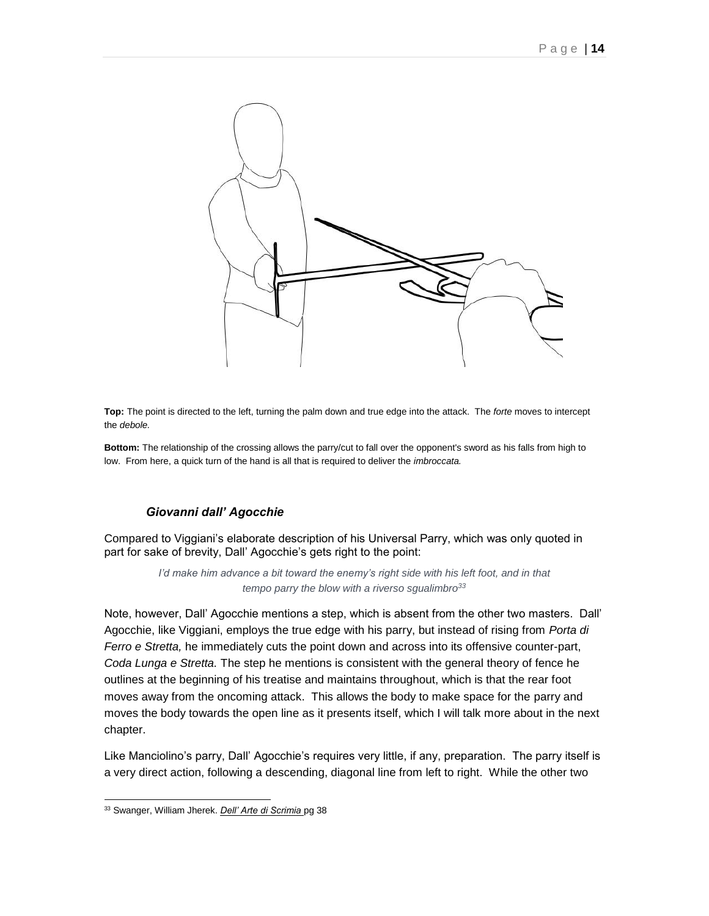

**Top:** The point is directed to the left, turning the palm down and true edge into the attack. The *forte* moves to intercept the *debole.*

**Bottom:** The relationship of the crossing allows the parry/cut to fall over the opponent's sword as his falls from high to low. From here, a quick turn of the hand is all that is required to deliver the *imbroccata.*

#### *Giovanni dall' Agocchie*

Compared to Viggiani's elaborate description of his Universal Parry, which was only quoted in part for sake of brevity, Dall' Agocchie's gets right to the point:

> *I'd make him advance a bit toward the enemy's right side with his left foot, and in that tempo parry the blow with a riverso sgualimbro<sup>33</sup>*

Note, however, Dall' Agocchie mentions a step, which is absent from the other two masters. Dall' Agocchie, like Viggiani, employs the true edge with his parry, but instead of rising from *Porta di Ferro e Stretta,* he immediately cuts the point down and across into its offensive counter-part, *Coda Lunga e Stretta.* The step he mentions is consistent with the general theory of fence he outlines at the beginning of his treatise and maintains throughout, which is that the rear foot moves away from the oncoming attack. This allows the body to make space for the parry and moves the body towards the open line as it presents itself, which I will talk more about in the next chapter.

Like Manciolino's parry, Dall' Agocchie's requires very little, if any, preparation. The parry itself is a very direct action, following a descending, diagonal line from left to right. While the other two

l <sup>33</sup> Swanger, William Jherek. *Dell' Arte di Scrimia* pg 38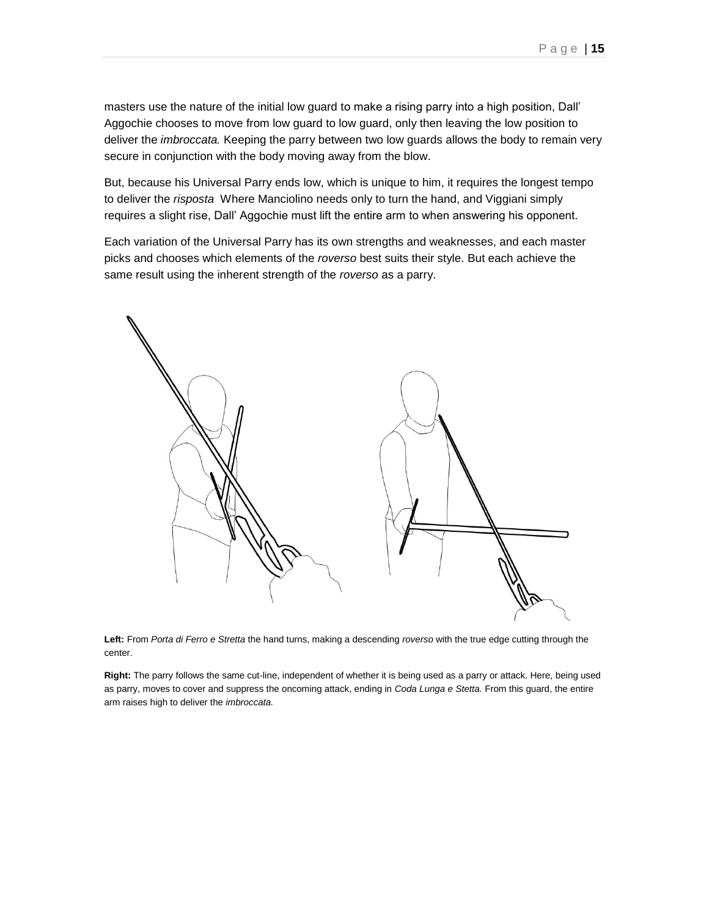masters use the nature of the initial low guard to make a rising parry into a high position, Dall' Aggochie chooses to move from low guard to low guard, only then leaving the low position to deliver the *imbroccata.* Keeping the parry between two low guards allows the body to remain very secure in conjunction with the body moving away from the blow.

But, because his Universal Parry ends low, which is unique to him, it requires the longest tempo to deliver the *risposta* Where Manciolino needs only to turn the hand, and Viggiani simply requires a slight rise, Dall' Aggochie must lift the entire arm to when answering his opponent.

Each variation of the Universal Parry has its own strengths and weaknesses, and each master picks and chooses which elements of the *roverso* best suits their style. But each achieve the same result using the inherent strength of the *roverso* as a parry.



**Left:** From *Porta di Ferro e Stretta* the hand turns, making a descending *roverso* with the true edge cutting through the center.

**Right:** The parry follows the same cut-line, independent of whether it is being used as a parry or attack. Here, being used as parry, moves to cover and suppress the oncoming attack, ending in *Coda Lunga e Stetta.* From this guard, the entire arm raises high to deliver the *imbroccata.*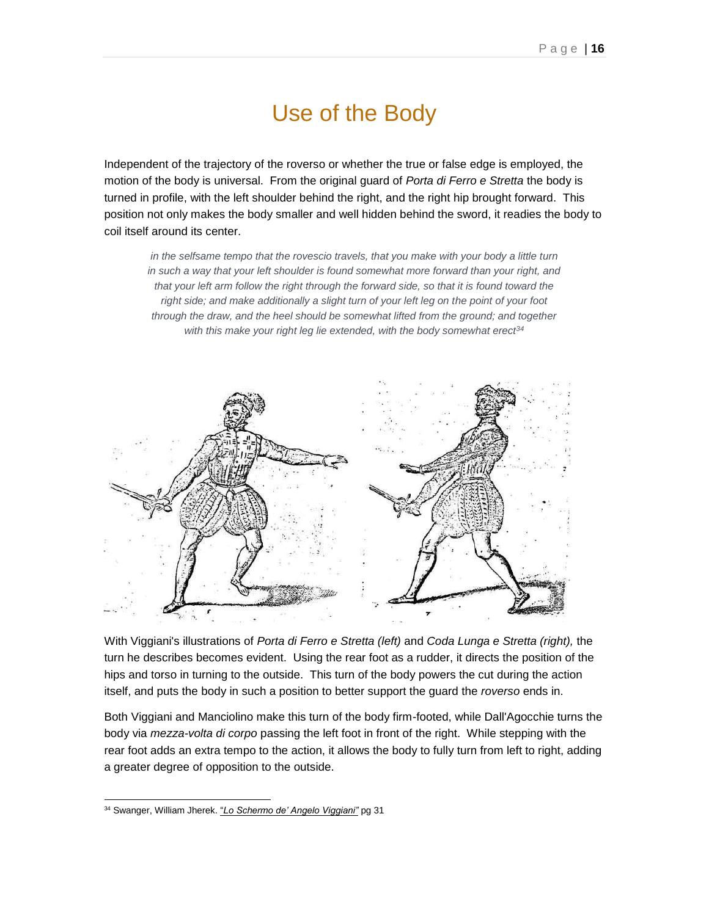# Use of the Body

Independent of the trajectory of the roverso or whether the true or false edge is employed, the motion of the body is universal. From the original guard of *Porta di Ferro e Stretta* the body is turned in profile, with the left shoulder behind the right, and the right hip brought forward. This position not only makes the body smaller and well hidden behind the sword, it readies the body to coil itself around its center.

*in the selfsame tempo that the rovescio travels, that you make with your body a little turn in such a way that your left shoulder is found somewhat more forward than your right, and that your left arm follow the right through the forward side, so that it is found toward the right side; and make additionally a slight turn of your left leg on the point of your foot through the draw, and the heel should be somewhat lifted from the ground; and together with this make your right leg lie extended, with the body somewhat erect<sup>34</sup>*



With Viggiani's illustrations of *Porta di Ferro e Stretta (left)* and *Coda Lunga e Stretta (right),* the turn he describes becomes evident. Using the rear foot as a rudder, it directs the position of the hips and torso in turning to the outside. This turn of the body powers the cut during the action itself, and puts the body in such a position to better support the guard the *roverso* ends in.

Both Viggiani and Manciolino make this turn of the body firm-footed, while Dall'Agocchie turns the body via *mezza-volta di corpo* passing the left foot in front of the right. While stepping with the rear foot adds an extra tempo to the action, it allows the body to fully turn from left to right, adding a greater degree of opposition to the outside.

l

<sup>34</sup> Swanger, William Jherek. "*Lo Schermo de' Angelo Viggiani"* pg 31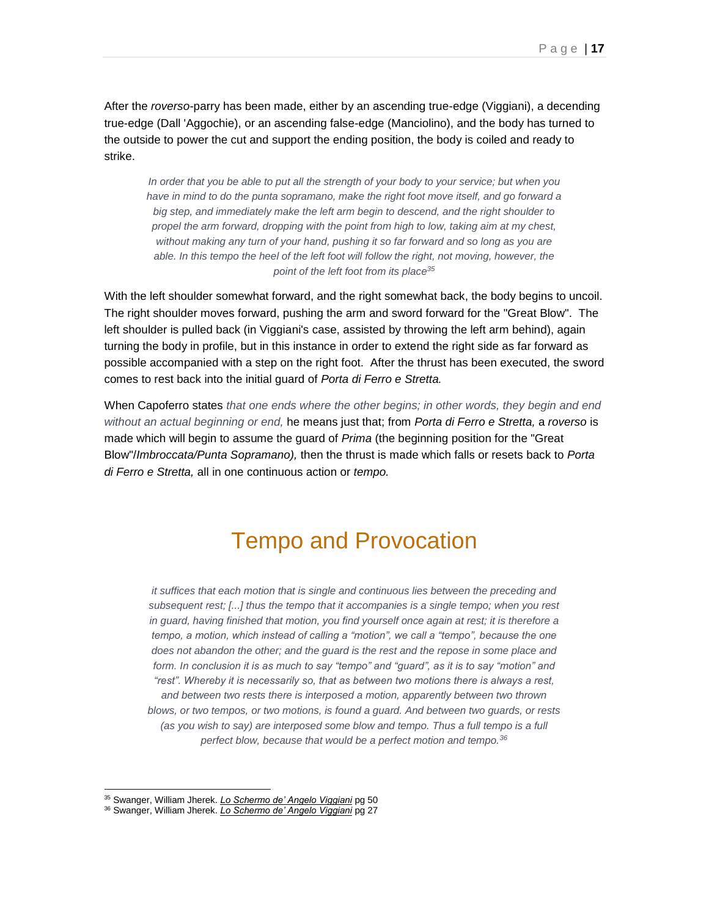After the *roverso-*parry has been made, either by an ascending true-edge (Viggiani), a decending true-edge (Dall 'Aggochie), or an ascending false-edge (Manciolino), and the body has turned to the outside to power the cut and support the ending position, the body is coiled and ready to strike.

*In order that you be able to put all the strength of your body to your service; but when you have in mind to do the punta sopramano, make the right foot move itself, and go forward a big step, and immediately make the left arm begin to descend, and the right shoulder to propel the arm forward, dropping with the point from high to low, taking aim at my chest, without making any turn of your hand, pushing it so far forward and so long as you are able. In this tempo the heel of the left foot will follow the right, not moving, however, the point of the left foot from its place<sup>35</sup>*

With the left shoulder somewhat forward, and the right somewhat back, the body begins to uncoil. The right shoulder moves forward, pushing the arm and sword forward for the "Great Blow". The left shoulder is pulled back (in Viggiani's case, assisted by throwing the left arm behind), again turning the body in profile, but in this instance in order to extend the right side as far forward as possible accompanied with a step on the right foot. After the thrust has been executed, the sword comes to rest back into the initial guard of *Porta di Ferro e Stretta.*

When Capoferro states *that one ends where the other begins; in other words, they begin and end without an actual beginning or end,* he means just that; from *Porta di Ferro e Stretta,* a *roverso* is made which will begin to assume the guard of *Prima* (the beginning position for the "Great Blow"/*Imbroccata/Punta Sopramano),* then the thrust is made which falls or resets back to *Porta di Ferro e Stretta,* all in one continuous action or *tempo.* 

## Tempo and Provocation

*it suffices that each motion that is single and continuous lies between the preceding and subsequent rest; [...] thus the tempo that it accompanies is a single tempo; when you rest in guard, having finished that motion, you find yourself once again at rest; it is therefore a tempo, a motion, which instead of calling a "motion", we call a "tempo", because the one does not abandon the other; and the guard is the rest and the repose in some place and form. In conclusion it is as much to say "tempo" and "guard", as it is to say "motion" and "rest". Whereby it is necessarily so, that as between two motions there is always a rest, and between two rests there is interposed a motion, apparently between two thrown blows, or two tempos, or two motions, is found a guard. And between two guards, or rests (as you wish to say) are interposed some blow and tempo. Thus a full tempo is a full perfect blow, because that would be a perfect motion and tempo.<sup>36</sup>*

<sup>35</sup> Swanger, William Jherek. *Lo Schermo de' Angelo Viggiani* pg 50

<sup>36</sup> Swanger, William Jherek. *Lo Schermo de' Angelo Viggiani* pg 27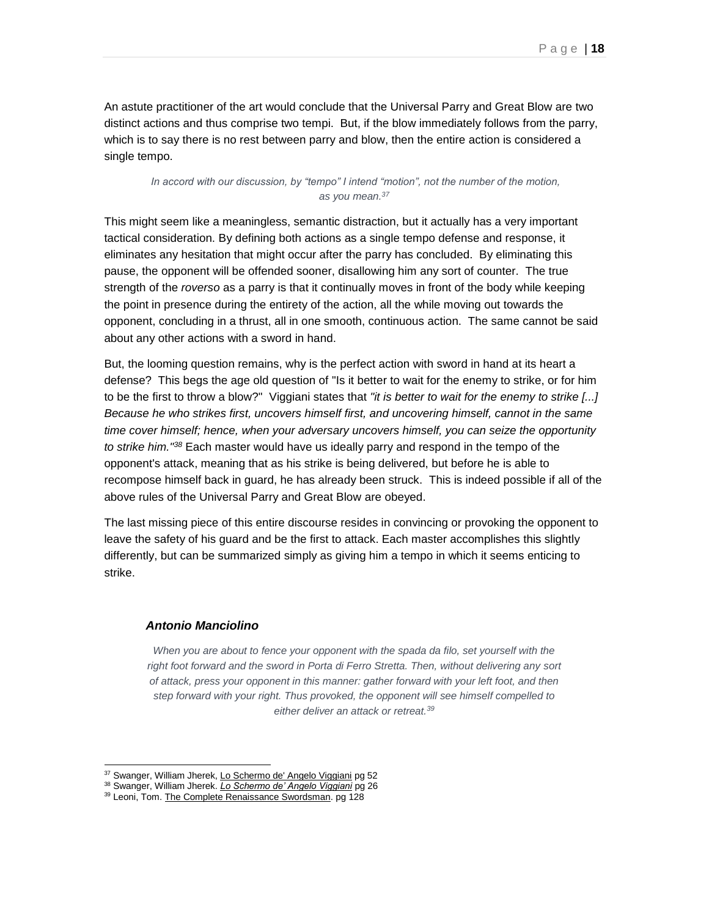An astute practitioner of the art would conclude that the Universal Parry and Great Blow are two distinct actions and thus comprise two tempi. But, if the blow immediately follows from the parry, which is to say there is no rest between parry and blow, then the entire action is considered a single tempo.

#### *In accord with our discussion, by "tempo" I intend "motion", not the number of the motion, as you mean.<sup>37</sup>*

This might seem like a meaningless, semantic distraction, but it actually has a very important tactical consideration. By defining both actions as a single tempo defense and response, it eliminates any hesitation that might occur after the parry has concluded. By eliminating this pause, the opponent will be offended sooner, disallowing him any sort of counter. The true strength of the *roverso* as a parry is that it continually moves in front of the body while keeping the point in presence during the entirety of the action, all the while moving out towards the opponent, concluding in a thrust, all in one smooth, continuous action. The same cannot be said about any other actions with a sword in hand.

But, the looming question remains, why is the perfect action with sword in hand at its heart a defense? This begs the age old question of "Is it better to wait for the enemy to strike, or for him to be the first to throw a blow?" Viggiani states that *"it is better to wait for the enemy to strike [...] Because he who strikes first, uncovers himself first, and uncovering himself, cannot in the same time cover himself; hence, when your adversary uncovers himself, you can seize the opportunity to strike him."<sup>38</sup>* Each master would have us ideally parry and respond in the tempo of the opponent's attack, meaning that as his strike is being delivered, but before he is able to recompose himself back in guard, he has already been struck. This is indeed possible if all of the above rules of the Universal Parry and Great Blow are obeyed.

The last missing piece of this entire discourse resides in convincing or provoking the opponent to leave the safety of his guard and be the first to attack. Each master accomplishes this slightly differently, but can be summarized simply as giving him a tempo in which it seems enticing to strike.

#### *Antonio Manciolino*

 $\overline{a}$ 

*When you are about to fence your opponent with the spada da filo, set yourself with the right foot forward and the sword in Porta di Ferro Stretta. Then, without delivering any sort of attack, press your opponent in this manner: gather forward with your left foot, and then step forward with your right. Thus provoked, the opponent will see himself compelled to either deliver an attack or retreat.<sup>39</sup>*

<sup>&</sup>lt;sup>37</sup> Swanger, William Jherek, Lo Schermo de' Angelo Viggiani pg 52

<sup>38</sup> Swanger, William Jherek. *Lo Schermo de' Angelo Viggiani* pg 26

<sup>39</sup> Leoni, Tom. The Complete Renaissance Swordsman. pg 128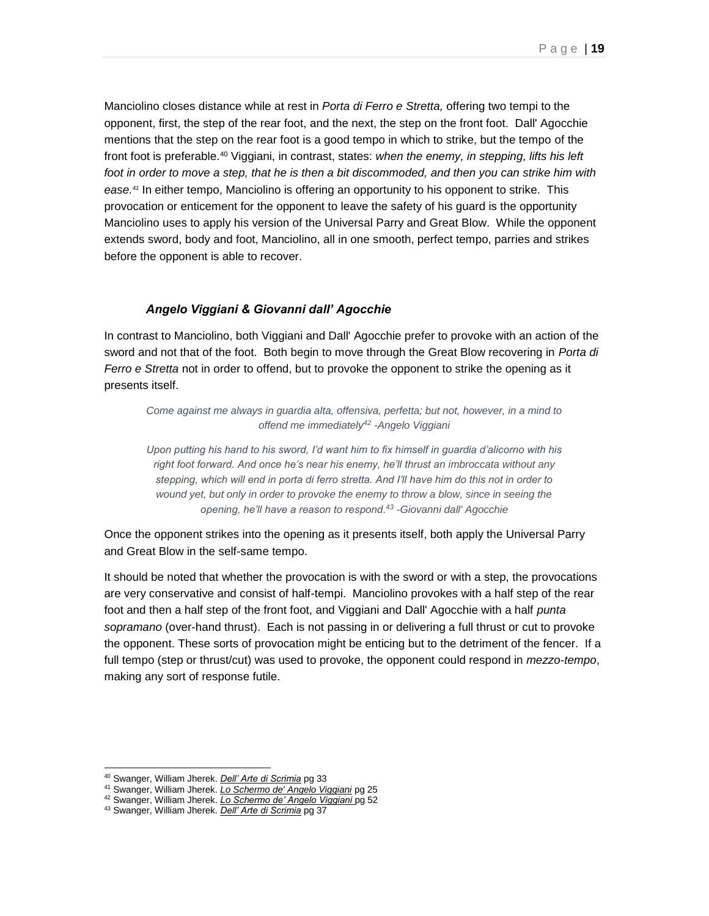Manciolino closes distance while at rest in *Porta di Ferro e Stretta,* offering two tempi to the opponent, first, the step of the rear foot, and the next, the step on the front foot. Dall' Agocchie mentions that the step on the rear foot is a good tempo in which to strike, but the tempo of the front foot is preferable.<sup>40</sup> Viggiani, in contrast, states: *when the enemy, in stepping, lifts his left*  foot in order to move a step, that he is then a bit discommoded, and then you can strike him with *ease.<sup>41</sup>* In either tempo, Manciolino is offering an opportunity to his opponent to strike. This provocation or enticement for the opponent to leave the safety of his guard is the opportunity Manciolino uses to apply his version of the Universal Parry and Great Blow. While the opponent extends sword, body and foot, Manciolino, all in one smooth, perfect tempo, parries and strikes before the opponent is able to recover.

#### *Angelo Viggiani & Giovanni dall' Agocchie*

In contrast to Manciolino, both Viggiani and Dall' Agocchie prefer to provoke with an action of the sword and not that of the foot. Both begin to move through the Great Blow recovering in *Porta di Ferro e Stretta* not in order to offend, but to provoke the opponent to strike the opening as it presents itself.

*Come against me always in guardia alta, offensiva, perfetta; but not, however, in a mind to offend me immediately<sup>42</sup> -Angelo Viggiani*

*Upon putting his hand to his sword, I'd want him to fix himself in guardia d'alicorno with his right foot forward. And once he's near his enemy, he'll thrust an imbroccata without any stepping, which will end in porta di ferro stretta. And I'll have him do this not in order to wound yet, but only in order to provoke the enemy to throw a blow, since in seeing the opening, he'll have a reason to respond.<sup>43</sup> -Giovanni dall' Agocchie*

Once the opponent strikes into the opening as it presents itself, both apply the Universal Parry and Great Blow in the self-same tempo.

It should be noted that whether the provocation is with the sword or with a step, the provocations are very conservative and consist of half-tempi. Manciolino provokes with a half step of the rear foot and then a half step of the front foot, and Viggiani and Dall' Agocchie with a half *punta sopramano* (over-hand thrust). Each is not passing in or delivering a full thrust or cut to provoke the opponent. These sorts of provocation might be enticing but to the detriment of the fencer. If a full tempo (step or thrust/cut) was used to provoke, the opponent could respond in *mezzo-tempo*, making any sort of response futile.

<sup>40</sup> Swanger, William Jherek. *Dell' Arte di Scrimia* pg 33

<sup>41</sup> Swanger, William Jherek. *Lo Schermo de' Angelo Viggiani* pg 25

<sup>42</sup> Swanger, William Jherek. *Lo Schermo de' Angelo Viggiani* pg 52

<sup>43</sup> Swanger, William Jherek. *Dell' Arte di Scrimia* pg 37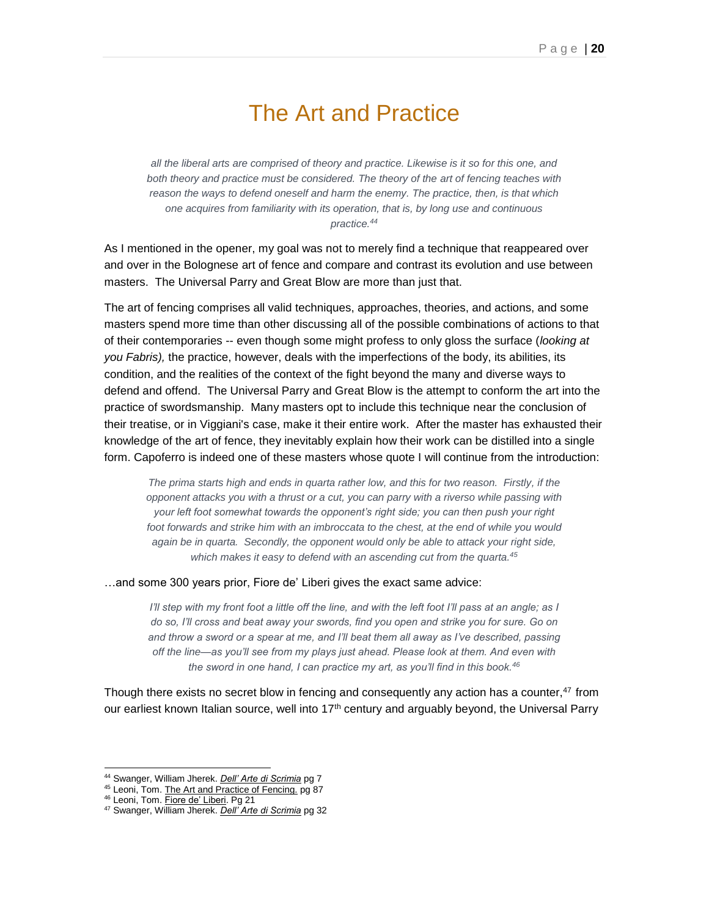## The Art and Practice

*all the liberal arts are comprised of theory and practice. Likewise is it so for this one, and both theory and practice must be considered. The theory of the art of fencing teaches with reason the ways to defend oneself and harm the enemy. The practice, then, is that which one acquires from familiarity with its operation, that is, by long use and continuous practice.<sup>44</sup>*

As I mentioned in the opener, my goal was not to merely find a technique that reappeared over and over in the Bolognese art of fence and compare and contrast its evolution and use between masters. The Universal Parry and Great Blow are more than just that.

The art of fencing comprises all valid techniques, approaches, theories, and actions, and some masters spend more time than other discussing all of the possible combinations of actions to that of their contemporaries -- even though some might profess to only gloss the surface (*looking at you Fabris),* the practice, however, deals with the imperfections of the body, its abilities, its condition, and the realities of the context of the fight beyond the many and diverse ways to defend and offend. The Universal Parry and Great Blow is the attempt to conform the art into the practice of swordsmanship. Many masters opt to include this technique near the conclusion of their treatise, or in Viggiani's case, make it their entire work. After the master has exhausted their knowledge of the art of fence, they inevitably explain how their work can be distilled into a single form. Capoferro is indeed one of these masters whose quote I will continue from the introduction:

*The prima starts high and ends in quarta rather low, and this for two reason. Firstly, if the opponent attacks you with a thrust or a cut, you can parry with a riverso while passing with your left foot somewhat towards the opponent's right side; you can then push your right foot forwards and strike him with an imbroccata to the chest, at the end of while you would*  again be in quarta. Secondly, the opponent would only be able to attack your right side, *which makes it easy to defend with an ascending cut from the quarta. 45*

…and some 300 years prior, Fiore de' Liberi gives the exact same advice:

*I'll step with my front foot a little off the line, and with the left foot I'll pass at an angle; as I do so, I'll cross and beat away your swords, find you open and strike you for sure. Go on and throw a sword or a spear at me, and I'll beat them all away as I've described, passing off the line—as you'll see from my plays just ahead. Please look at them. And even with the sword in one hand, I can practice my art, as you'll find in this book.<sup>46</sup>*

Though there exists no secret blow in fencing and consequently any action has a counter, $47$  from our earliest known Italian source, well into 17<sup>th</sup> century and arguably beyond, the Universal Parry

<sup>44</sup> Swanger, William Jherek. *Dell' Arte di Scrimia* pg 7

<sup>45</sup> Leoni, Tom. The Art and Practice of Fencing. pg 87

<sup>46</sup> Leoni, Tom. Fiore de' Liberi. Pg 21

<sup>47</sup> Swanger, William Jherek. *Dell' Arte di Scrimia* pg 32